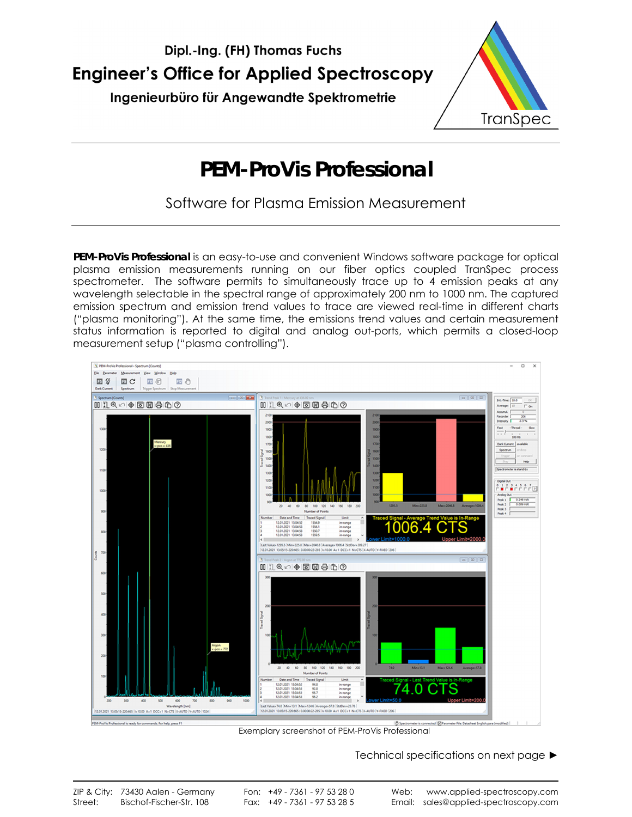



# **PEM-ProVis Professional**

Software for Plasma Emission Measurement

**PEM-ProVis Professional** is an easy-to-use and convenient Windows software package for optical plasma emission measurements running on our fiber optics coupled TranSpec process spectrometer. The software permits to simultaneously trace up to 4 emission peaks at any wavelength selectable in the spectral range of approximately 200 nm to 1000 nm. The captured emission spectrum and emission trend values to trace are viewed real-time in different charts ("plasma monitoring"). At the same time, the emissions trend values and certain measurement status information is reported to digital and analog out-ports, which permits a closed-loop measurement setup ("plasma controlling").



Exemplary screenshot of PEM-ProVis Professional

Technical specifications on next page ►